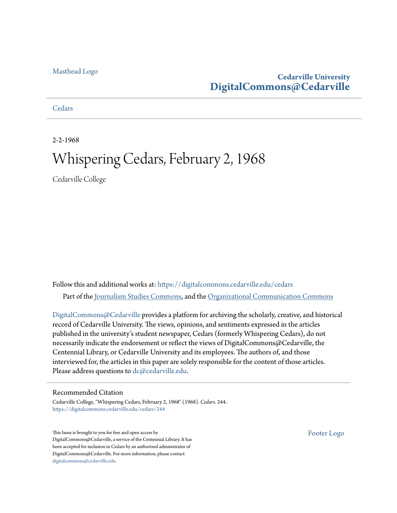#### [Masthead Logo](http://www.cedarville.edu/?utm_source=digitalcommons.cedarville.edu%2Fcedars%2F244&utm_medium=PDF&utm_campaign=PDFCoverPages)

#### **Cedarville University [DigitalCommons@Cedarville](https://digitalcommons.cedarville.edu?utm_source=digitalcommons.cedarville.edu%2Fcedars%2F244&utm_medium=PDF&utm_campaign=PDFCoverPages)**

#### **[Cedars](https://digitalcommons.cedarville.edu/cedars?utm_source=digitalcommons.cedarville.edu%2Fcedars%2F244&utm_medium=PDF&utm_campaign=PDFCoverPages)**

2-2-1968

### Whispering Cedars, February 2, 1968

Cedarville College

Follow this and additional works at: [https://digitalcommons.cedarville.edu/cedars](https://digitalcommons.cedarville.edu/cedars?utm_source=digitalcommons.cedarville.edu%2Fcedars%2F244&utm_medium=PDF&utm_campaign=PDFCoverPages) Part of the [Journalism Studies Commons](http://network.bepress.com/hgg/discipline/333?utm_source=digitalcommons.cedarville.edu%2Fcedars%2F244&utm_medium=PDF&utm_campaign=PDFCoverPages), and the [Organizational Communication Commons](http://network.bepress.com/hgg/discipline/335?utm_source=digitalcommons.cedarville.edu%2Fcedars%2F244&utm_medium=PDF&utm_campaign=PDFCoverPages)

[DigitalCommons@Cedarville](http://digitalcommons.cedarville.edu/) provides a platform for archiving the scholarly, creative, and historical record of Cedarville University. The views, opinions, and sentiments expressed in the articles published in the university's student newspaper, Cedars (formerly Whispering Cedars), do not necessarily indicate the endorsement or reflect the views of DigitalCommons@Cedarville, the Centennial Library, or Cedarville University and its employees. The authors of, and those interviewed for, the articles in this paper are solely responsible for the content of those articles. Please address questions to [dc@cedarville.edu.](mailto:dc@cedarville.edu)

#### Recommended Citation

Cedarville College, "Whispering Cedars, February 2, 1968" (1968). *Cedars*. 244. [https://digitalcommons.cedarville.edu/cedars/244](https://digitalcommons.cedarville.edu/cedars/244?utm_source=digitalcommons.cedarville.edu%2Fcedars%2F244&utm_medium=PDF&utm_campaign=PDFCoverPages)

This Issue is brought to you for free and open access by DigitalCommons@Cedarville, a service of the Centennial Library. It has been accepted for inclusion in Cedars by an authorized administrator of DigitalCommons@Cedarville. For more information, please contact [digitalcommons@cedarville.edu](mailto:digitalcommons@cedarville.edu).

[Footer Logo](http://www.cedarville.edu/Academics/Library.aspx?utm_source=digitalcommons.cedarville.edu%2Fcedars%2F244&utm_medium=PDF&utm_campaign=PDFCoverPages)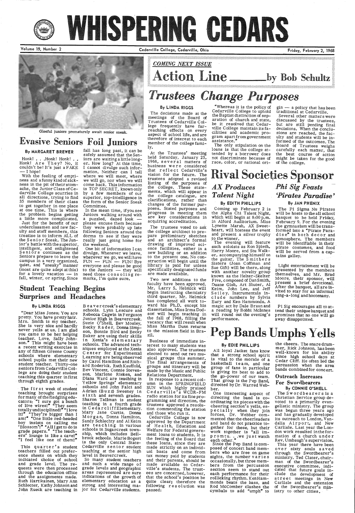

# WHISPERING CEDARS

Volume 19, Number 2 Cedarville College, Cedarville, Ohio Friday, February 2, 1968



Gleeful juniors prematurely await senior sneak.

With the feeling of emptiness and a funny kind of sickness in the pit of their stomachs, the Junior Class of Cedarville College scurries in all directions, trying to find 35 members of their class to get together in one place at one time. This is where the problem begins getting a little more complicated.

# Evasive Seniors Foil Juniors

#### By MARGARET BREWER

Honk! . . . Honk! Honk! . . Honk! Are They? No, it couldn't be! It's just a FAKE  $-$  I hope!

Just for the benefit of our underclassmen and new faculty and staff members, this treatise is to inform ALL of the Senior Sneak. The Junior's battle with the superior,<br>intelligent, and enlightened Seniors continues as the Seniors prepare to leave the campus in a very organized, quiet, and "sneaky" manner (most are quite adept at this) for a lovely vacation — in fall, winter, or spring. Since

Student Teaching Begins Surprises and Headaches

fall has long past, it can be safely assumed that the Seniors are waiting a little longer. How long? At this time, I cannot divulge such information. Neither can I tell where we will meet, where we will go, nor when we will come back. This information is TOP SECRET, knownonly by a few members of our superior, top-intelligence in the form of the Senior Sneak Committee.

The fir st week of student teaching brought surprises for many of the fledgling educators: "I sure got a bunch<br>of live wires!" "They seem totally undisciplined!<sup>\*</sup> "I love it!" "They're bigger than I am1• "One little red-headed boy insists on calling me<br>'Blossom'!" "AllI get to do is grade papers." "The teachers' lounge is like a cave!" "I feel like one of them!"

 In the mean time, if you see Juniors walking around with a puzzled, dazed look  $$ please excuse them because<br>they were probably up late following Seniors around the dorms to see if they were

really just going home for the weekend. One bit of information I can divulge. Whenever we leave, wherever we go, we will have<br>FUN — FUN — FUN! Bye everyone and please be good to the Juniors - they will need those consoling remarks, I'm quite sure.

#### By LINDA RIGGS

son, Marlene Rieken, and<br>Diana Ward are teaching in Yellow Springs' elementary schools and John Falci and Adrian (B u z z) Sweeney in s ix th and seventh grades. Sharon Tallman is student teaching in a fourth grade in C edarcliffElementary. Mary Jane Curtis, Donna Morgan, Donna Hamilton, Sandy Schlechty and Al Keim are teaching in various schools in Sugarcreek township, which includes Bell-<br>brook schools. Marie Bogert is the only Central State-Cedarville senior student teaching at the senior high level in Beavercreek. So many student teachers and such a wide range of grade levels and geographic areas represented are sure indications of the growth of elementary education as <sup>a</sup> strong and interesting ma-

This quarter's student teachers filled out preference sheets on which they indicated choice of school and grade level. The requests were then processed through the education office and the assignments made. Ruth Hartikainen, Mary Ann Schlecter, Kathy Johnson and John Rueck are teaching in jor for Cedarville students.

"Dear Miss Jones: You are pretty. You have pretty hair. Mrs. Smith is my teacher. She is very nice and hardly never yells at us. I am glad you came to be her helping teacher. Love, Sally Johnson." This might have been a recent writing exercise in<br>any of fifteen Greene County schools where elementary school pupils met their new student teacher. Thirty-one seniors from Cedarville College are doing their student teaching this quarter in first through eighth grades.

<sup>B</sup>ea v er creek's elementary schools. Lynn Lescure and

Rebecca Cagwin inFerguson Junior High in Beavercreek. Suzie O'Shell, Bev Mosley, Becky Rader, Donna Simpson, Bonnie Bird and Becky<br>Baker are using their skills in Xenia's elementary schools. The advanced techniques employed at the Xenia C enter for Experimental Learning are beingobserved by Carol Hamilton and Richard Roderick. Ruth Kauffold, Bev Vincent, Connie Steven-

In response to a recent column in the SPRINGFIELD SUN which highly praised Cedarville's WCDR-FM radio station for its fine pro gramming and direction, the trustees approved a resolution commending the station and those who run it. Cedarville College is. now approved by the Department of Health, Education and Welfare for Federalgovernment loans to students. It is the feeling of the Board that these loans, since they are made strictly on an individual basis and come from tax money paid by students and their parents, should be made available to Cedarville's students. The trustees are concerned, however, that the school's position be quite clear; therefore the following resolution was passed:

Coming up February 2 is<br>the Alpha Chi Talent Night, which will begin at  $8:00 \,\mathrm{p.m.}$  in Alford Auditorium. Miss Lynette Marsh, AX Sweetheart, will hostess the event and present a silver trophy to the winner.

The evening will feature such soloists as Ron Spieth, Harry Moore, and Stu Walker, accompanying. himself on the guitar. The S mithers Sisters (Joan Coffman and Sue Gift) will be there, along<br>with another novelty group known as the Helter-Skelter Five, composed of Dan Smith, Duane Gish, Art Shuter, Al Keim, John Lee, and Jeff Seiley. Instrumentals inc 1 u de numbers by Sylvia Eury and Ken Hammonds. A magic act by Dale Braun and a reading by Bobbi McInnes will round out the evening's performance.

The Pi Sigma Nu Pirates will be hosts to the all school banquet to be held Friday, February 9. For the evening the gymnasium will betransformed into a "Pirate Paradise" in both decor and atmosphere. The members will be identifiable in their pirate costumes, and food will be served from a cap-<br>tains galley.

.~: ~:::: :: : : : : : ::: : : : : :: : ::: : : : : : : :: : : :: : : : : : : : : : ::: :: : : : : : : : : :: : : : : : : :: : : : : : : : : : : : : :: : ::: ::: : : : : :: : : : : :: :: : :: : : : : ::: ::: :: : : :: : : ::~:: ::: :: : : :::: :: : : : ::: : : :: : : ::::::: :: : : :: : ::::::: ::: : :: : : : : : :: :: : ::::: ::::::::::::::: :: : : : : : : : : : : : : : :: : :::: ::::::::::: :: ::;: ~=:

Light entertainment will be presented by the members themselves, and Mr. Brad Moore, their sponsor, will present a brief devotional. After the banquet, all are invited to stay for an informal sing-a-long and hootenany.

By LINDA RIGGS The decisions made at the meetings of the Board of

> All loyal Jacket fans know<br>that a strong school spirit is vital to the morale of a basketball team, and one group of fans in particular is giving its best to add to the go-power of our team. That group is the Pep Band, directed by Dr. Warred Web-

One interesting aspect of directing the band is coordinating its pieces with the cheering section's yells, es pecially when they join forces, Dr. Webber commented that the cheerleaders and band do not practice together for these, but their work together is "all· imp rom tu. . .we just watch<br>each other."

Trustees of Cedarville College frequently have farreaching effects . on every aspect of school life, and are therefore of interest to each member of the college fami-<br>ly. At the Trustees' meeting held Saturday, January 23, 1968, several matters of

> Since the Pep Band is composed of concert band mem-<br>bers who are free on game mights, the number  $varies$ occasionally, but three members from the percussion section seem to stand out each performance for their rollicking rhythm. Ken Hammonds beats the bass, and Rod Mccomber clashes the cymbals to add " $umph$ " to

The Swordbearers is a Christian Service group de voted to a primarily evangelistic ministry. The group<br>was begun three years ago and has gradually developed its outreach to London, Vandalia Airport, and New Carlisle. Last year the London work resulted intheformation of a church under Rev. Umbaugh's supervision. This year there have been over sixty souls saved through the Swordbearer's ministry. Ted Clater, chairman of the Swordbearer's executive committee, indi- cated that future goals in clude the development of street meetings in New Carlisle and the extension of the Swordbearer's ministry to other cities.

business were considered that reflect Cedarville's vision for the future. The trustees adopted a revised listing of the purposes of the college. These statements, which will appear in the college catalogue, are clarifications, rather than changes of the former purposes. Stated purposes and progress in meeting them are key considerations in acquiring accreditation.

The trustees voted to ask the college architect to prepare preliminary sketches and an architect's formal drawing of improved science facilities, either in <sup>a</sup> new building or an addition to the present one. No construction will begin until the<br>library is paid for unless specifically designated funds are made available.

Two new additions to the faculty have been approved. Mr. Larry S. Helmick will begin instructing chemistry third quarter. Mr. Helmick has completed all work toward his Ph.D. except his dissertation. Miss Irma Dodson: will begin teaching in the fall of 1968, filling the vacancy that will result when Miss Martha Dunn returns to the mission field in Brazil.

Business of immediate interest to many students was also approved. The trustees elected to send out two mu sical groups this summer. The final arrangements of groups and itinerary will be made by the Music and Public Relations Department.

"Whereas it is the policy of Cedarville College to uphold the Baptist distinction of sep- aration of church and state, be it resolved that Cedarville College maintain its facilities and academic program apart from government assistance."

**EDIENT COMING NEXT ISSUE**<br> **Action Line** \_\_\_\_\_\_by Bob Schultz

 $Trustees$  *Change Purposes* 

The only stipulation on the loans is that the college at tended by a borrower does not discriminate because of race, color, or national origin - a policy that has been<br>traditional at Cedarville.

Several other matters were discussed by the trustees, but are still pending final decisions. When the conclu sions are reached, the fac ulty and students will be in formed of the outcomes. The Board of Trustees weighs carefully each matter, that the best course of action might be taken for the good of the college.

#### By EDITH PHILLIPS

#### Rival Societies Sponsor *AX Produces Talent Night Phi Sig Feasts 'Pirates Paradise'*

# By JAN PHENIX

Pi Sig encourages all to attend their unique banquet and promises that no one will go <sup>a</sup>way disappointed.

# Pep Bands Umphs Yells

#### By EDIE PHILLIPS

ber.

the cheers. The snare drummer, Rick Johnson, has been<br>well-known for his ability since high school days at Cedar Cliff. He often led the percussion when the area· bands combined for concert.

Outreach Increases For Swordhearers By CONNIE O'SHELL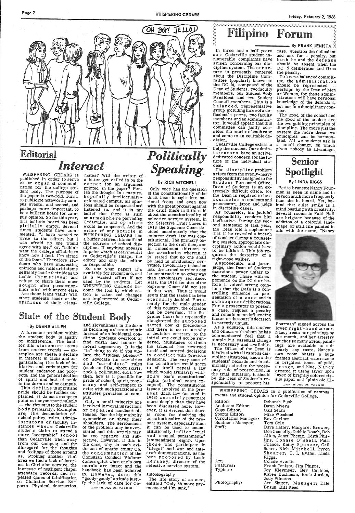## **Editorial** *Interact*

WHISPERING CEDARS is published in order to serve as an organ of communi cation for the college stu-<br>dent body. The purpose of<br>the paper is two-fold. First, to publicize noteworthy campus events, and second, and perhaps more important, to be a bulletin board for campus opinion. So far this year, that bulletin board has been pit if ully empty. Several<br>times students have commented, "I have wanted to write to the editor, but I was afraid no one would · agree with me;" or, "I didn't want the college officials to know how I feel. I'm afraid of the Dean." Therefore, students who have interesting opinions and valid criticisms selfishly bottle their ideas up<br>inside the ms elves, and refuse to share their most<br>sought after possessiontheir mind-with anyone else.<br>Are these fears valid? Will other students sneer at the opinions of their class-

mates? Will the writer of <sup>a</sup>letter get called in on the carpet for an argument printed in the paper? Per- ish the thought! In a mature, ish the thought! In a mature, hopefully intellectually - orientated campus, all opin-<br>ions should be respected and listened to. And it is my belief that there is such an atmosphere pervading Cedarville, and opinions would be respected. And the<br>writer of any article in WHISPERING CEDARS has a buffer between himself and the sources of school dis-<br>cipline. If anything appears in print which is detrimental to Cedarville's image, the editor and" only the editor is responsible.

So use your paper! It's available for student *use,* and is a wasted effort if not used by the students. Let WHISPERING CEDARS be come the tool by which ac tion is taken and changes are implemented at Cedar ville College.

is becoming a characteristic instead of an incidental condition. Students overlook or find mirth and humor in moral degeneracy. It is the "in" thing to do if you vio-<br>late the "student jokebook" or advocate its trivialties and "out-of-date" rules (such as PDA, short skirts, rock & roll music, etc.). Now then, how is it possible for pride of school, spirit, testi-

### State of the Student Body

#### By DEANE ALLEN

pus.<br>Only a small minority are involved in moral infractions or repeated handbook of sympathize or shrug their<br>shoulders. The seriousness of the problem may be over- stated and this article may be too negative and sub jective. However, if this is<br>the case, why do such evidences of apathy exist? Oh, the condemnation of the Christian Conduct Violator comes quick when one's own morals are intact and the handbook has been adhered to. However, does this "goody-goody"' attitude justi- fy the lack of care for Ce- <coN T1Nu Eo ON PAGE 3)

A foremost problem within the student body is apathy or indifference. The basis for this statement stems from student trends  $-$  examples are these: a decline in interest in clubs and organizations; the lack of initiative and enthusiasm for student endeavor and projects; and the general decline of spirit and lack of pride<br>in the dorms and on campus.<br>This decline in spirit and pride should be further explained. (I do not attempt to point out anyoneparticularly the thrust is to the student body primarily). Examples are; the denunciation of school policy, rules, administrators or faculty; instances where Cedarville students claim to attend <sup>a</sup> more "acceptable" school than Cedarville when away from our campus; and the disregard for the thoughts and feelings of those around us. Probing another vital area we find a lack of interest in Christian service, the attendace records, and repeated cases of falsification on Christian Service Reports Physical destruction

and slovenliness in the dorm

Only once has the question<br>of the constitutionality of the draft been brought into na-<br>tional focus and even now<br>with the great protest against the draft there is little said about the constitutionality of selective service system. In the Selective Draft Cases in 1918 the Supreme Court de-<br>cided unanimously that the<br>existent draft law was con-<br>stitutional. The primary objection to the draft then, was in amendment thirteen to the constitution wherein it is stated that no one shall be held in involuntary ser-<br>vitude. Involuntary induction<br>into the armed services can<br>be construed in no other way than involuntary servitude. Alas, the 1918 session of the Supreme Court did not see it that way. Thus it would seem that the issue has been eternally decided. Fortunately for the male gender of this country, the decision can be reversed. The Supreme Court has repeatedly slaughtered the supposed sacred cow of precedence , and there is no reason why<br>a decision contrary to the initial one could not be rendered. Multitudes of times the tribunal has reversed itself and uttered decisions sessions. The very tone of<br>the constitution would seem to of itself repeal a law which would arbitarily with- d r aw one's constitutional rights (criminal cases excepted). The constitutional issues involved in the present draft law (enacted in 1948) certainly penetrate<br>more deeply than they have been discussed here. However, it is evident that there<br>is room for doubting the constitutionality of the pre-<br>sent system, especially when it can be used to unconstitutionally inflict "cruel and unusual punishments" (ammendment eight). Upon those who participate in "illegal" anti-war and antidraft demonstrations, as has<br>been proposed by Louis Hershey, director of the selective service system.

# Friday, February 2, 1968<br>
Filipino Forum

#### $\blacksquare$  By FRANK JENISTA

The iife story of an auto, entitled "Only 36 more payments and I'm junk."

mony and self-respect to exist with such practices and attitudes prevalent on camCedarville College exists to<br>help the student. Our administrators have an active, dedicated concern forthefuture of the individual student.

The discipline problem<br>arises from the overly-heavy<br>responsibility assigned to the S tu dent Personnel Office. Dean of Students is an extremely difficult office, for the Dean is required to be <sup>a</sup> coun selor to students and prosecutor, juror and judge in discipline cases.

As counselor, his judicial responsibility renders him ineffective. During the sec-<br>ond semester of last year, the Dean told a sophomore<br>that if he revealed a breach of conduct during a counsel- ing session, appropriate dis- ciplinary action would have to be initiated. This job re quires the dexterity of a<br>tight-rope walker.<br>A sprosecutor and juror-

judge, the Dean of Students exercises power unfair to the student. Those with experience on the DC 6 or before it voiced sttong opin- ions that the Dean is a controlling influence in pre- sentation of a case and in subsequent deliberations. For a prosecutor to present<br>a case, request a penalty and remain as an influencing<br>factor on the court's decision is patently unjust.



## *Politically Speakin\_g.*

#### By RICH MITCHELL

Fourman" signed across the lower right-hand corner. Nancy rents her paintings by<br>the month, and her artestry<br>touches so many areas, paint-<br>ings are available to suit nearly any taste. Nancy's<br>own room boasts a huge framed abstract water scene in brightest tones of gold, orange, and blue. Nancy created it using layer upon<br>layer of brightly colored tissue paper and "plain ole El-

Editor: Deborah Bush Assistant Editor: Dawn Myers Copy Editor: Gail Sears Sports Editor: Mike Woodend<br>Circulation Manager: Bey Carlson

autobiography

In three and a half years as a Cedarville student innumerable complaints have<br>arisen concerning our discipline system. The structure is presently centered<br>about the Discipline Committee (popularly known as<br>the DC 6), composed of the<br>Dean of Students, two faculty members, our Student Body<br>President and two Student Council members. This is <sup>a</sup> b a lanced, representative group including three of a defendant's peers, two faculty members and an administracommittee can justly con-<br>sider the merits of each case and come to an equitable de cision.

As a solution, this student and others with whom he has communicated feel that <sup>a</sup> simple but essential change is necessary and available. The Office of the Dean is

involved with all campus dis- cipline situations, knows the· students' records and is admirably suited to the necessary role of prosecution. In the trial situation, it should be the Dean of Student's responsibility to present his

case, question the defendant and ask for a penalty, but both he and the defense should be absent when the DC 6 deliberates and fixes the penalty.

To keep a balanced committee, the administration should be represented perhaps by the Dean of Men istrators will have personal knowledge of the defendant, but not in a disciplinary context.

The good of the school and the good of the student are<br>the two guiding principles of discipline. The more just the system the more these two principles can be harmonized. All we students ask is a- small change, on which <sup>g</sup>ives nobody an advantage.,

#### Senior Spotlight By LINDA RIGGS

#### Petite brunette Nancy Fourman is seen in name and in person much more frequently<br>than she is heard. Yet, be-<br>hind that quiet smile is a mind bustling with creativity.<br>Several rooms in Faith Hall are brighter because of the addition of a colorful land-

scape or still life painted in



<coNT1NuEo ON PAGE 3)

WHISPERING CEDARS is a publication of campus events and student opinion for Cedarville College,

Circulation Manager: Bev Carlson Business Manager: Tom Gelo Staff: Dave Haffey, Margaret Brewer, Don Connelly, Debbie Rouch, Bob Allen, Janet Phenix, Edith Phillips, Connie O'Shell, Patti Sears, Rich Mitchell, Byron<br>Shearer, T. I. Evans, Linda Riggs. Connie Averitt<br>Frank Jenista, Jim Phipps. Joy Kleymeer, Bev Carlson, Karen Buchanan, Barb Jordan, Judy Winston Art Shuter, Manager; Dale

Art: Features: Typists:

Photography:

Braun, Bill Reed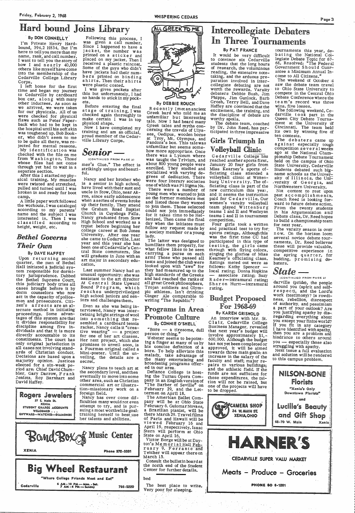### Hard hound Joins Library

#### By DON CONNELLY

I'm Private Henry Hardbound, 394.2 H834. But I'm here to tell you more than my name, rank, and call number. I want to tell you the story of how I and nearly 40,000 others like mys elf have come into the membership of the Cedarville College. Library Corps.

separate section.<br>After this I started my physical training. My muscles were twisted and stretched, pulled and turned until I was broken in and ready for boot camp.

A litife- paper work followed the workouts. I was cataloged according to my parents' name and the subject I was<br>interested in. Then I was<br>classified according to<br>height, weight, etc.

I left home for the first time and began my journey<br>to Cedarville by cardboard box car, along with many other inductees. As soon as we arrived, we were taken for our physicals. All of us flaws such as Peter Paper-<br>back who had to be kept in .the hospital until his soft skin was toughened up. Bob Booker, who didn't seem to me to be quite all there, was re jected for mental reasons. My identification was checked with the file on me from Washington. Those<br>whose files had not come whose files had not come through yet had to wait in <sup>a</sup>

Following this process, <sup>I</sup> was given a call number. Since I happened to have a<br>jacket, the number was printed on a sticker and<br>placed on my jacket. Then I received a plastic raincoat. Some of the guys who didn't<br>have jackets had their num-<br>bers printed on binding bers printed on binding<br>shirts.Then their shirts were plastic coated.<br>I was given pockets after

#### *Bethel Governs Their Own*

#### By DAVE HAFFEY

this but unfortunately, I had no hands to stick in my pockets.

 Before entering the final stage of training, I was<br>checked again thoroughly to<br>make certain I was in top physical shape.<br>Now I have completed my

training and am an official, proud member of the Cedarville Library Corps.

Nancy and her brother who is a senior in high school, have lived with their aunt and uncle in Stow, Ohio, near Akron, since early adolescence when a series of events broke up their family. They attend the Graham Road Baptist<br>Church in Cuyahoga Falls.<br>Nancy graduated from Stow<br>High School and worked as a typist before beginning her college career at Bob Jones University. After one year<br>she came to Cedarville.Last year and this year she has been one of Cedarville's Central State commuters. She will graduate in June with an art major in secondary edu-<br>cation.

Upon returning second quarter, the men of Bethel Hall initiated a judicial system responsible for dormitory jurisprudence. Dubbed<br>the Bethel Supreme Court, this judiciary body tries all cases brought before it by dorm counselors who now act in the capacity of policemen and prosecutors. Citi zen's arrests are an alternate method in initiating proceedings. Some advantages of this system are that<br>it divides responsibility for<br>discipline among five in-. dividuals and that it is more directly accountable to its constituents. The court has only original jurisdiction in all cases not involving stand-<br>ards of Christian conduct. Decisions are based upon a majority opinion. Justices elected for a six-week pe- riod are: Chief David Chum-

Last summer Nancy had an<br>unusual opportunity: she was unusual opportunity: she was<br>assistant to the art director At Central State Upward<br>Bound Program, which<br>reaches underpriviledged high school juniors and seniors and challenges them.

Even as she was being in-<br>terviewed, Nancy was inter-<br>twining bright strings of wool into something that resembled a cardboard tennis racket. Nancy calls it "creative wearing" -- a project<br>for one of her art classes. Her next project, which she promises to unveil soon, is<br>a Fourman original called a Mini-poster. Until the unveiling, the details are <sup>a</sup> secret.

Nancy plans to teach art at<br>the secondary level, and then commercial art or illustra-

young men who wanted to join so the former members met and listed those they wanted to join them. Those selected could not join immediately for it takes time to be Hellenized. Then came the final day when the initiates must follow any request made by a society member or a young<br>lady.

The latter was designed to humiliate them properly, for what fellow likes to be seen carrying a purse on each arm! Those who passed all tests and joined the club were<br>looked upon with "awe" for they had measured up to the high standards of the Greeks and had reached the ranks of all great Greek philosophers, Trojan· soldiers and Olym- Ginger Ale comparable to writing "The Republic"?

#### *Senior-*

(CONTINUED FROM PAGE 2) mer's Glue." The effect is strikingly unique andbeautiful.

> webster seems to bepoint-<br>ing a finger at many of us by his concise definition of a bore. To help alleviate this the many entertaining and broadening programs offered in our area.

The debate team, coached by Dr. John Reed, has par-<br>ticipated in three impressive

### Girls Triumph In Volleyball Clinic.<br>Cedarville College has

reached another sports first.<br>January 20 four girls from<br>Miss Kearney's sports of-<br>ficiating class attended a volleyball clinic at Witten ficiating class is part of the new curriculum this year, and it seems the instruction paid for Cedarville. Our women's varsity volleyball team played Wittenburg teams I and II and Wesleyan teams I and II in tournament competition.

An interview with Mr. St. Clair, Cedarville College<br>Business Manager, revealed<br>that next year's budget will<br>involve approximately \$1,-<br>600,000. Although the budget<br>has not yet been completed or<br>approved, it will be aimed towards three main goals; an increase in the salary of the faculty and staff; major repairs to various buildings; and the athletic field. If the

rournaments this year, de-<br>bating the National Collegiate Debate Topic for 67–<br>68, Resolved: "The Federal Government Should Guarantee a Minimum Annual Income to All Citizens."



The weekend of October  $4$  saw the debate team travel to Ohio State University to compete in the Central Ohio Debate Conference where the te am's record was three wins, five losses.

The following weekend, Ce-<br>darville took part in the<br>Queen City Debate Tourna-<br>ment at the University of ment at the University of<br>Cincinnati. The team heid<br>its own by winning five of ten contests.

The debaters came *ip* against especially tough  $competition$  sever al weeks ago at the National Championship Debate Tournament held on the campus of Ohio State University. Cedarville Students debated such bigname schools as the University of Illinois, the Uni versity of Georgia, and<br>Northwestern University.

Recently Imetanancient Greek bard who told me an unfamiliar but interesting tale. Now I had heard many Greek tales and myths con-<br>cerning the travels of Ulysses, Oedipus, wooden horse at Troy, Mt. Olympus, and Pandora's box. This talewas unfamiliar but seems somehow more appropriate. Once there was a Lyceum where was taught the Trivium, and<br>about 800 young people were enrolled. They studied and socialized with varying degrees of dedication. There were four literary societies<br>one of which was Pi Sigma Nu. one of which was Pi Sigma Nu. There were ·a number of

Not content to rest upon<br>past accomplishments, Coach Reed is looking for-<br>ward to future debate action. From the twenty students in his Argumentation and Debate class, Dr. Reed hopes to build a championship team for next year.

The varsity season is over now. On the horizon loom several novice debate tournaments. Dr. Reed believes these will provide valuable, competitive experience in<br>the spring quarter, for<br>budding, promising debaters.

#### Programs in Area Promote Culture By CONNIE O'SHEll

 $\text{F}$ Bore - a tiresome, dull



#### Intercollegiate Debaters In Three Tournaments

#### By PAT FRANCE

It would be very difficult to convince six Cedarville students that the long hours of research, the voluminous reading, the extensive note-<br>taking, and the arduous preparation involved in inter-<br>collegiate debating are not collegiate debating are not<br>worth the rewards. Varsity<br>debaters Debbie Bush, Jim Phipps, Jim Gunlock, Barb Grosh, Terry Bell, and Dave Haffey are convinced that the excitement, the training, and the discipline of debate are worthy spoils.

Four girls took a written and practical test to try for: sports ratings. Although this was the first time CC had participated in this type of testing, the girls came<br>through with flying colors,<br>singing the glories of Miss Kearney's officiating class. Ratings meted out were as follows: Kathy Spencer - local rating; Donna Hopkins - associate rating; Suzy<br>R ad e r-intramural rating;<br>Sh a r on Hurtt-intramural rating.

#### Budget Proposed For 1968-69 By KAREN GRISWOLD

#### *State-*

(CONTINUED FROM PAGE 2)

darville (pride), the people around you (spirit and selfrespect), and the Lord's work (testimony)? Is rowdiof authority, and pessimism a part of your outlook? Are<br>you justifying apathy by disregarding everything about<br>you except your finite world? If you fit in any category I have identified with apathy, then you are a problem and hindrance to others around you  $-$  especially those also struggling with apathy. Next issue a full evaluation

 and solution will be rendered to this campus problem.